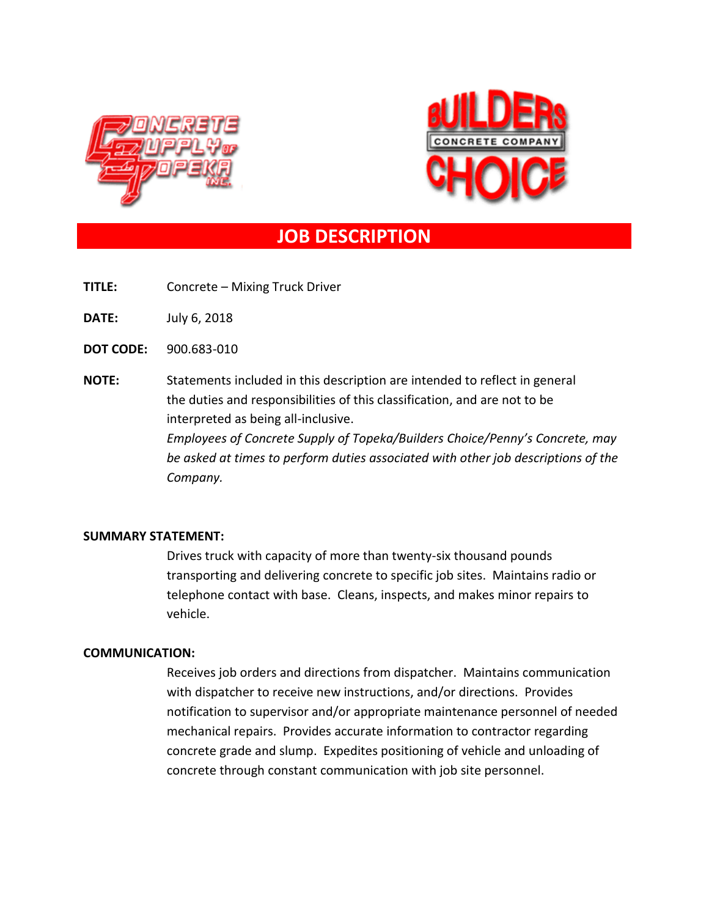



# **JOB DESCRIPTION**

**TITLE:** Concrete – Mixing Truck Driver

**DATE:** July 6, 2018

**DOT CODE:** 900.683-010

**NOTE:** Statements included in this description are intended to reflect in general the duties and responsibilities of this classification, and are not to be interpreted as being all-inclusive. *Employees of Concrete Supply of Topeka/Builders Choice/Penny's Concrete, may be asked at times to perform duties associated with other job descriptions of the Company.*

### **SUMMARY STATEMENT:**

Drives truck with capacity of more than twenty-six thousand pounds transporting and delivering concrete to specific job sites. Maintains radio or telephone contact with base. Cleans, inspects, and makes minor repairs to vehicle.

### **COMMUNICATION:**

Receives job orders and directions from dispatcher. Maintains communication with dispatcher to receive new instructions, and/or directions. Provides notification to supervisor and/or appropriate maintenance personnel of needed mechanical repairs. Provides accurate information to contractor regarding concrete grade and slump. Expedites positioning of vehicle and unloading of concrete through constant communication with job site personnel.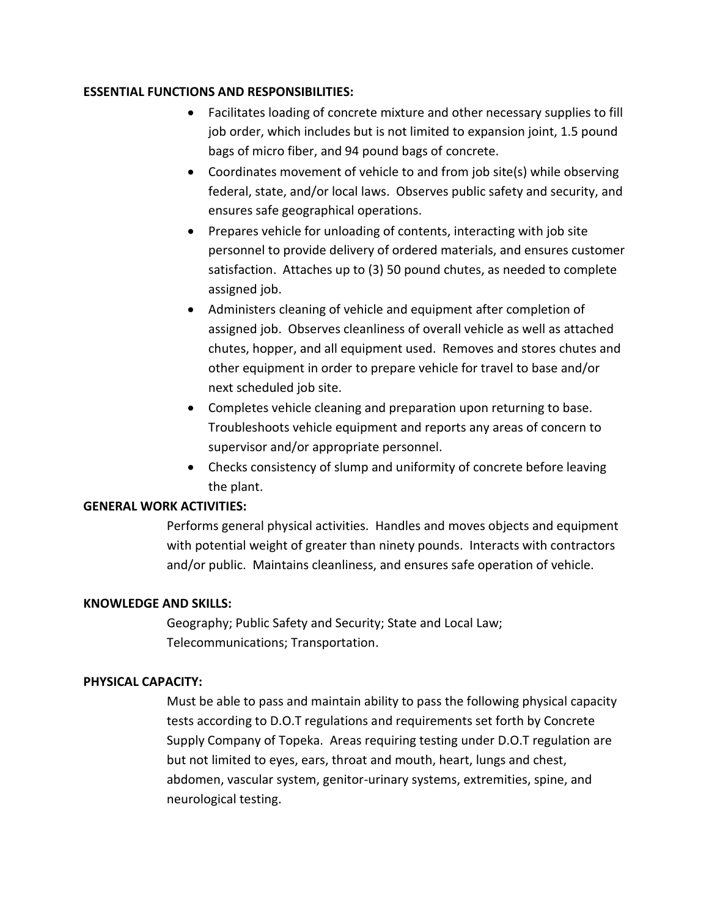### **ESSENTIAL FUNCTIONS AND RESPONSIBILITIES:**

- Facilitates loading of concrete mixture and other necessary supplies to fill job order, which includes but is not limited to expansion joint, 1.5 pound bags of micro fiber, and 94 pound bags of concrete.
- Coordinates movement of vehicle to and from job site(s) while observing federal, state, and/or local laws. Observes public safety and security, and ensures safe geographical operations.
- Prepares vehicle for unloading of contents, interacting with job site personnel to provide delivery of ordered materials, and ensures customer satisfaction. Attaches up to (3) 50 pound chutes, as needed to complete assigned job.
- Administers cleaning of vehicle and equipment after completion of assigned job. Observes cleanliness of overall vehicle as well as attached chutes, hopper, and all equipment used. Removes and stores chutes and other equipment in order to prepare vehicle for travel to base and/or next scheduled job site.
- Completes vehicle cleaning and preparation upon returning to base. Troubleshoots vehicle equipment and reports any areas of concern to supervisor and/or appropriate personnel.
- Checks consistency of slump and uniformity of concrete before leaving the plant.

# **GENERAL WORK ACTIVITIES:**

Performs general physical activities. Handles and moves objects and equipment with potential weight of greater than ninety pounds. Interacts with contractors and/or public. Maintains cleanliness, and ensures safe operation of vehicle.

### **KNOWLEDGE AND SKILLS:**

Geography; Public Safety and Security; State and Local Law; Telecommunications; Transportation.

# **PHYSICAL CAPACITY:**

Must be able to pass and maintain ability to pass the following physical capacity tests according to D.O.T regulations and requirements set forth by Concrete Supply Company of Topeka. Areas requiring testing under D.O.T regulation are but not limited to eyes, ears, throat and mouth, heart, lungs and chest, abdomen, vascular system, genitor-urinary systems, extremities, spine, and neurological testing.